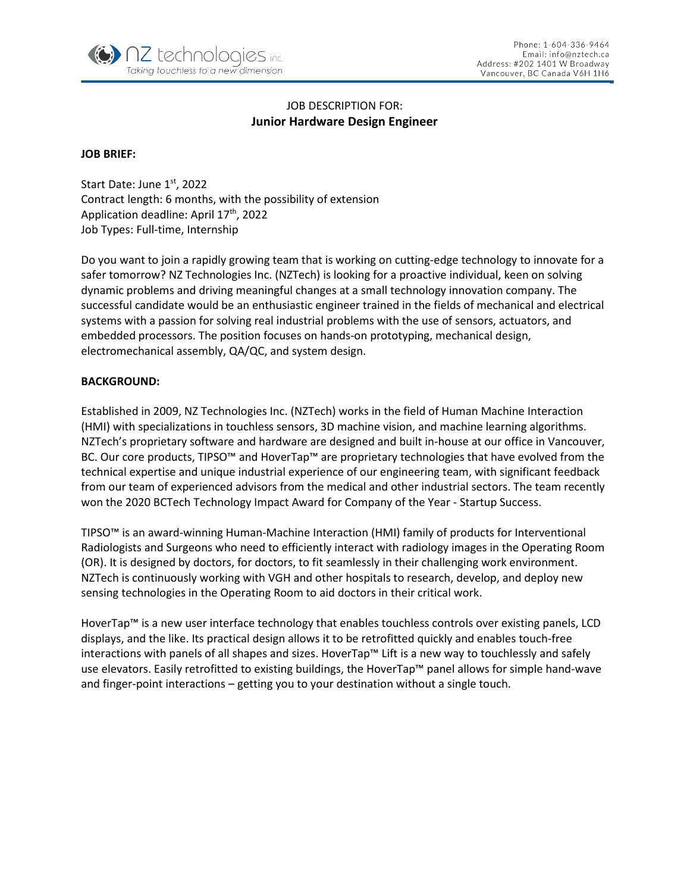

# JOB DESCRIPTION FOR: **Junior Hardware Design Engineer**

## **JOB BRIEF:**

Start Date: June 1st, 2022 Contract length: 6 months, with the possibility of extension Application deadline: April 17<sup>th</sup>, 2022 Job Types: Full-time, Internship

Do you want to join a rapidly growing team that is working on cutting-edge technology to innovate for a safer tomorrow? NZ Technologies Inc. (NZTech) is looking for a proactive individual, keen on solving dynamic problems and driving meaningful changes at a small technology innovation company. The successful candidate would be an enthusiastic engineer trained in the fields of mechanical and electrical systems with a passion for solving real industrial problems with the use of sensors, actuators, and embedded processors. The position focuses on hands-on prototyping, mechanical design, electromechanical assembly, QA/QC, and system design.

#### **BACKGROUND:**

Established in 2009, NZ Technologies Inc. (NZTech) works in the field of Human Machine Interaction (HMI) with specializations in touchless sensors, 3D machine vision, and machine learning algorithms. NZTech's proprietary software and hardware are designed and built in-house at our office in Vancouver, BC. Our core products, TIPSO™ and HoverTap™ are proprietary technologies that have evolved from the technical expertise and unique industrial experience of our engineering team, with significant feedback from our team of experienced advisors from the medical and other industrial sectors. The team recently won the 2020 BCTech Technology Impact Award for Company of the Year - Startup Success.

TIPSO™ is an award-winning Human-Machine Interaction (HMI) family of products for Interventional Radiologists and Surgeons who need to efficiently interact with radiology images in the Operating Room (OR). It is designed by doctors, for doctors, to fit seamlessly in their challenging work environment. NZTech is continuously working with VGH and other hospitals to research, develop, and deploy new sensing technologies in the Operating Room to aid doctors in their critical work.

HoverTap™ is a new user interface technology that enables touchless controls over existing panels, LCD displays, and the like. Its practical design allows it to be retrofitted quickly and enables touch-free interactions with panels of all shapes and sizes. HoverTap™ Lift is a new way to touchlessly and safely use elevators. Easily retrofitted to existing buildings, the HoverTap™ panel allows for simple hand-wave and finger-point interactions – getting you to your destination without a single touch.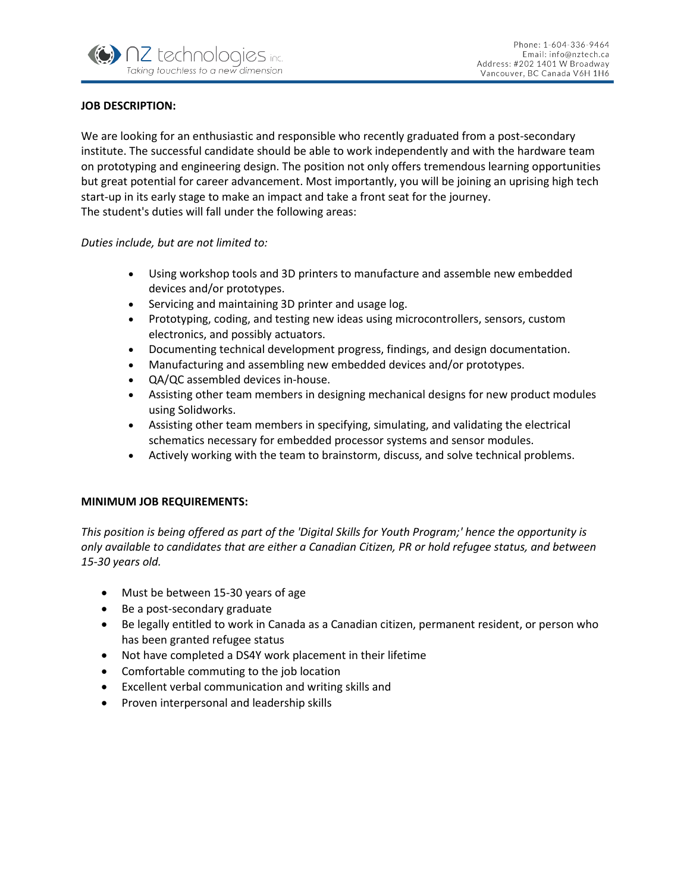

## **JOB DESCRIPTION:**

We are looking for an enthusiastic and responsible who recently graduated from a post-secondary institute. The successful candidate should be able to work independently and with the hardware team on prototyping and engineering design. The position not only offers tremendous learning opportunities but great potential for career advancement. Most importantly, you will be joining an uprising high tech start-up in its early stage to make an impact and take a front seat for the journey. The student's duties will fall under the following areas:

*Duties include, but are not limited to:*

- Using workshop tools and 3D printers to manufacture and assemble new embedded devices and/or prototypes.
- Servicing and maintaining 3D printer and usage log.
- Prototyping, coding, and testing new ideas using microcontrollers, sensors, custom electronics, and possibly actuators.
- Documenting technical development progress, findings, and design documentation.
- Manufacturing and assembling new embedded devices and/or prototypes.
- QA/QC assembled devices in-house.
- Assisting other team members in designing mechanical designs for new product modules using Solidworks.
- Assisting other team members in specifying, simulating, and validating the electrical schematics necessary for embedded processor systems and sensor modules.
- Actively working with the team to brainstorm, discuss, and solve technical problems.

## **MINIMUM JOB REQUIREMENTS:**

*This position is being offered as part of the 'Digital Skills for Youth Program;' hence the opportunity is only available to candidates that are either a Canadian Citizen, PR or hold refugee status, and between 15-30 years old.* 

- Must be between 15-30 years of age
- Be a post-secondary graduate
- Be legally entitled to work in Canada as a Canadian citizen, permanent resident, or person who has been granted refugee status
- Not have completed a DS4Y work placement in their lifetime
- Comfortable commuting to the job location
- Excellent verbal communication and writing skills and
- Proven interpersonal and leadership skills